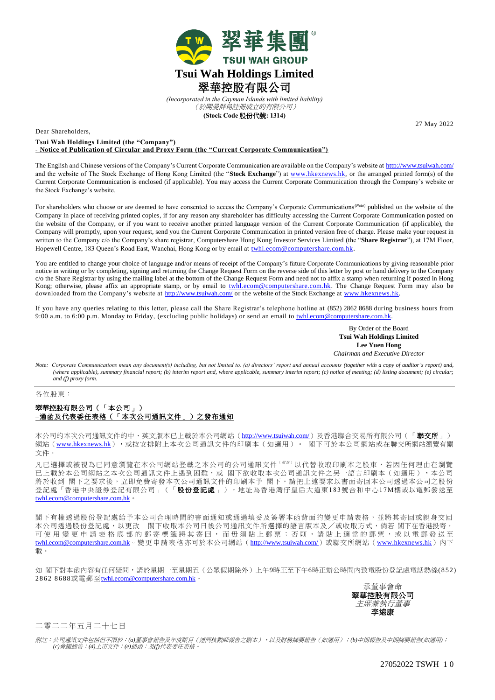

*(Incorporated in the Cayman Islands with limited liability)* (於開曼群島註冊成立的有限公司) **(Stock Code** 股份代號**: 1314)**

27 May 2022

Dear Shareholders,

**Tsui Wah Holdings Limited (the "Company") - Notice of Publication of Circular and Proxy Form (the "Current Corporate Communication")**

The English and Chinese versions of the Company's Current Corporate Communication are available on the Company's website at <http://www.tsuiwah.com/> and the website of The Stock Exchange of Hong Kong Limited (the "**Stock Exchange**") at [www.hkexnews.hk,](http://www.hkexnews.hk/) or the arranged printed form(s) of the Current Corporate Communication is enclosed (if applicable). You may access the Current Corporate Communication through the Company's website or the Stock Exchange's website.

For shareholders who choose or are deemed to have consented to access the Company's Corporate Communications(*Note*) published on the website of the Company in place of receiving printed copies, if for any reason any shareholder has difficulty accessing the Current Corporate Communication posted on the website of the Company, or if you want to receive another printed language version of the Current Corporate Communication (if applicable), the Company will promptly, upon your request, send you the Current Corporate Communication in printed version free of charge. Please make your request in written to the Company c/o the Company's share registrar, Computershare Hong Kong Investor Services Limited (the "**Share Registrar**"), at 17M Floor, Hopewell Centre, 183 Queen's Road East, Wanchai, Hong Kong or by email at [twhl.ecom@computershare.com.hk.](mailto:twhl.ecom@computershare.com.hk)

You are entitled to change your choice of language and/or means of receipt of the Company's future Corporate Communications by giving reasonable prior notice in writing or by completing, signing and returning the Change Request Form on the reverse side of this letter by post or hand delivery to the Company c/o the Share Registrar by using the mailing label at the bottom of the Change Request Form and need not to affix a stamp when returning if posted in Hong Kong; otherwise, please affix an appropriate stamp, or by email to *twhl.ecom@computershare.com.hk*. The Change Request Form may also be downloaded from the Company's website at [http://www.tsuiwah.com/](https://kingwell.todayir.com/) or the website of the Stock Exchange at www.hkexnews.hk

If you have any queries relating to this letter, please call the Share Registrar's telephone hotline at (852) 2862 8688 during business hours from 9:00 a.m. to 6:00 p.m. Monday to Friday, (excluding public holidays) or send an email to twhl.ecom@computershare.com.hk

> By Order of the Board **Tsui Wah Holdings Limited Lee Yuen Hong**  *Chairman and Executive Director*

*Note: Corporate Communications mean any document(s) including, but not limited to, (a) directors' report and annual accounts (together with a copy of auditor's report) and, (where applicable), summary financial report; (b) interim report and, where applicable, summary interim report; (c) notice of meeting; (d) listing document; (e) circular; and (f) proxy form.*

各位股東:

## 翠華控股有限公司(「本公司」) **–**通函及代表委任表格(「本次公司通訊文件」)之發布通知

本公司的本次公司通訊文件的中、英文版本已上載於本公司網站([http://www.tsuiwah.com/](https://kingwell.todayir.com/))及香港聯合交易所有限公司(「聯交所」) 網站([www.hkexnews.hk](http://www.hkexnews.hk/)),最按安排附上本次公司通訊文件的印刷本(如適用)。 閣下可於本公司網站或在聯交所網站瀏覽有關 文件。

凡已選擇或被視為已同意瀏覽在本公司網站登載之本公司的公司通訊文件(  $^{\prime\prime\prime\prime}$ ) 以代替收取印刷本之股東,若因任何理由在瀏覽 已上載於本公司網站之本次公司通訊文件上遇到困難,或 閣下欲收取本次公司通訊文件之另一語言印刷本(如適用),本公司 將於收到 閣下之要求後,立即免費寄發本次公司通訊文件的印刷本予 閣下。請把上述要求以書面寄回本公司透過本公司之股份 登記處「香港中央證券登記有限公司」(「**股份登記處**」),地址為香港灣仔皇后大道東183號合和中心17M樓或以電郵發送至 [twhl.ecom@computershare.com.hk](mailto:kingwell.ecom@computershare.com.hk)。

閣下有權透過股份登記處給予本公司合理時間的書面通知或通過填妥及簽署本函背面的變更申請表格,並將其寄回或親身交回 本公司透過股份登記處,以更改 閣下收取本公司日後公司通訊文件所選擇的語言版本及/或收取方式,倘若 閣下在香港投寄, 可使 用 變 更 申 請 表 格 底 部 的 郵 寄 標 籤 將 其 寄 回 , 而 毋 須 貼 上 郵 票 ; 否 則 , 請 貼 上 適 當 的 郵 票 , 或 以 電 郵 發 送 至 [twhl.ecom@computershare.com.hk](mailto:kingwell.ecom@computershare.com.hk)。變更申請表格亦可於本公司網站([http://www.tsuiwah.com/](https://kingwell.todayir.com/))或聯交所網站([www.hkexnews.hk](http://www.hkexnews.hk/))內下 載。

如 閣下對本函內容有任何疑問,請於星期一至星期五(公眾假期除外)上午9時正至下午6時正辦公時間內致電股份登記處電話熱線(852) 2862 8688或電郵至[twhl.ecom@computershare.com.hk](mailto:kingwell.ecom@computershare.com.hk)。

> 承董事會命 翠華控股有限公司 主席兼執行董事 李遠康

## 二零二二年五月二十七日

附註:公司通訊文件包括但不限於:*(a)*董事會報告及年度賬目(連同核數師報告之副本),以及財務摘要報告(如適用);*(b)*中期報告及中期摘要報告*(*如適用*)*; *(c)*會議通告;*(d)*上市文件;*(e)*通函;及*(f)*代表委任表格。